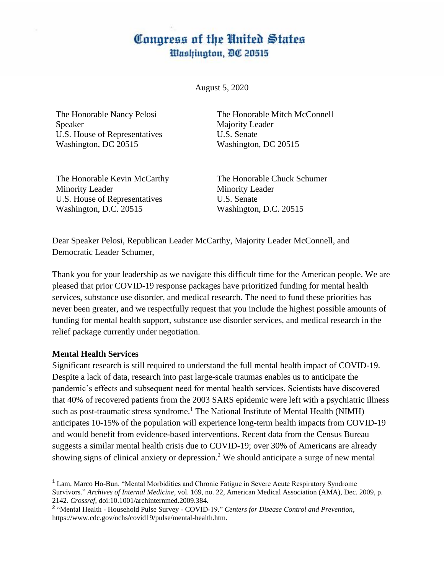# Congress of the United States **Washington, DC 20515**

August 5, 2020

The Honorable Nancy Pelosi Speaker U.S. House of Representatives Washington, DC 20515

The Honorable Mitch McConnell Majority Leader U.S. Senate Washington, DC 20515

The Honorable Kevin McCarthy Minority Leader U.S. House of Representatives Washington, D.C. 20515

The Honorable Chuck Schumer Minority Leader U.S. Senate Washington, D.C. 20515

Dear Speaker Pelosi, Republican Leader McCarthy, Majority Leader McConnell, and Democratic Leader Schumer,

Thank you for your leadership as we navigate this difficult time for the American people. We are pleased that prior COVID-19 response packages have prioritized funding for mental health services, substance use disorder, and medical research. The need to fund these priorities has never been greater, and we respectfully request that you include the highest possible amounts of funding for mental health support, substance use disorder services, and medical research in the relief package currently under negotiation.

### **Mental Health Services**

Significant research is still required to understand the full mental health impact of COVID-19. Despite a lack of data, research into past large-scale traumas enables us to anticipate the pandemic's effects and subsequent need for mental health services. Scientists have discovered that 40% of recovered patients from the 2003 SARS epidemic were left with a psychiatric illness such as post-traumatic stress syndrome.<sup>1</sup> The National Institute of Mental Health (NIMH) anticipates 10-15% of the population will experience long-term health impacts from COVID-19 and would benefit from evidence-based interventions. Recent data from the Census Bureau suggests a similar mental health crisis due to COVID-19; over 30% of Americans are already showing signs of clinical anxiety or depression.<sup>2</sup> We should anticipate a surge of new mental

<sup>1</sup> Lam, Marco Ho-Bun. "Mental Morbidities and Chronic Fatigue in Severe Acute Respiratory Syndrome Survivors." *Archives of Internal Medicine*, vol. 169, no. 22, American Medical Association (AMA), Dec. 2009, p. 2142. *Crossref*, doi:10.1001/archinternmed.2009.384.

<sup>2</sup> "Mental Health - Household Pulse Survey - COVID-19." *Centers for Disease Control and Prevention*, https://www.cdc.gov/nchs/covid19/pulse/mental-health.htm.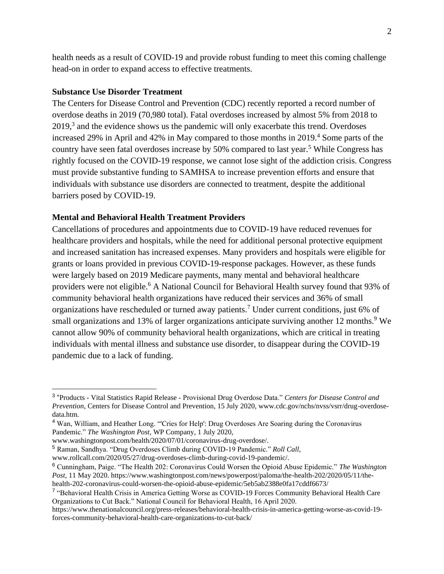health needs as a result of COVID-19 and provide robust funding to meet this coming challenge head-on in order to expand access to effective treatments.

#### **Substance Use Disorder Treatment**

The Centers for Disease Control and Prevention (CDC) recently reported a record number of overdose deaths in 2019 (70,980 total). Fatal overdoses increased by almost 5% from 2018 to  $2019<sup>3</sup>$  and the evidence shows us the pandemic will only exacerbate this trend. Overdoses increased 29% in April and 42% in May compared to those months in  $2019<sup>4</sup>$  Some parts of the country have seen fatal overdoses increase by 50% compared to last year.<sup>5</sup> While Congress has rightly focused on the COVID-19 response, we cannot lose sight of the addiction crisis. Congress must provide substantive funding to SAMHSA to increase prevention efforts and ensure that individuals with substance use disorders are connected to treatment, despite the additional barriers posed by COVID-19.

#### **Mental and Behavioral Health Treatment Providers**

Cancellations of procedures and appointments due to COVID-19 have reduced revenues for healthcare providers and hospitals, while the need for additional personal protective equipment and increased sanitation has increased expenses. Many providers and hospitals were eligible for grants or loans provided in previous COVID-19-response packages. However, as these funds were largely based on 2019 Medicare payments, many mental and behavioral healthcare providers were not eligible.<sup>6</sup> A National Council for Behavioral Health survey found that 93% of community behavioral health organizations have reduced their services and 36% of small organizations have rescheduled or turned away patients.<sup>7</sup> Under current conditions, just 6% of small organizations and 13% of larger organizations anticipate surviving another 12 months.<sup>9</sup> We cannot allow 90% of community behavioral health organizations, which are critical in treating individuals with mental illness and substance use disorder, to disappear during the COVID-19 pandemic due to a lack of funding.

www.rollcall.com/2020/05/27/drug-overdoses-climb-during-covid-19-pandemic/.

<sup>3</sup> "Products - Vital Statistics Rapid Release - Provisional Drug Overdose Data." *Centers for Disease Control and Prevention*, Centers for Disease Control and Prevention, 15 July 2020, www.cdc.gov/nchs/nvss/vsrr/drug-overdosedata.htm.

<sup>4</sup> Wan, William, and Heather Long. "'Cries for Help': Drug Overdoses Are Soaring during the Coronavirus Pandemic." *The Washington Post*, WP Company, 1 July 2020,

www.washingtonpost.com/health/2020/07/01/coronavirus-drug-overdose/.

<sup>5</sup> Raman, Sandhya. "Drug Overdoses Climb during COVID-19 Pandemic." *Roll Call*,

<sup>6</sup> Cunningham, Paige. "The Health 202: Coronavirus Could Worsen the Opioid Abuse Epidemic." *The Washington Post,* 11 May 2020. https://www.washingtonpost.com/news/powerpost/paloma/the-health-202/2020/05/11/thehealth-202-coronavirus-could-worsen-the-opioid-abuse-epidemic/5eb5ab2388e0fa17cddf6673/

<sup>&</sup>lt;sup>7</sup> "Behavioral Health Crisis in America Getting Worse as COVID-19 Forces Community Behavioral Health Care Organizations to Cut Back." National Council for Behavioral Health, 16 April 2020.

https://www.thenationalcouncil.org/press-releases/behavioral-health-crisis-in-america-getting-worse-as-covid-19 forces-community-behavioral-health-care-organizations-to-cut-back/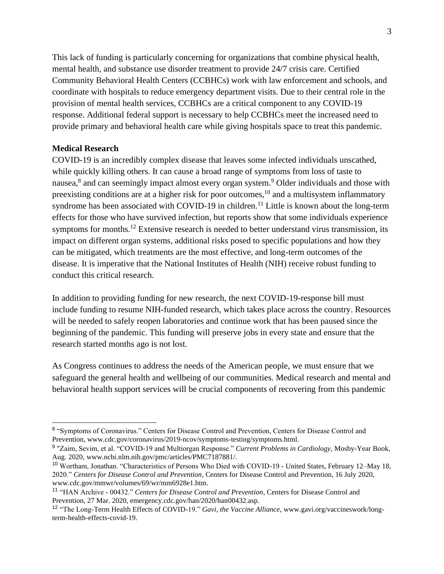This lack of funding is particularly concerning for organizations that combine physical health, mental health, and substance use disorder treatment to provide 24/7 crisis care. Certified Community Behavioral Health Centers (CCBHCs) work with law enforcement and schools, and coordinate with hospitals to reduce emergency department visits. Due to their central role in the provision of mental health services, CCBHCs are a critical component to any COVID-19 response. Additional federal support is necessary to help CCBHCs meet the increased need to provide primary and behavioral health care while giving hospitals space to treat this pandemic.

## **Medical Research**

COVID-19 is an incredibly complex disease that leaves some infected individuals unscathed, while quickly killing others. It can cause a broad range of symptoms from loss of taste to nausea,<sup>8</sup> and can seemingly impact almost every organ system.<sup>9</sup> Older individuals and those with preexisting conditions are at a higher risk for poor outcomes,  $^{10}$  and a multisystem inflammatory syndrome has been associated with COVID-19 in children.<sup>11</sup> Little is known about the long-term effects for those who have survived infection, but reports show that some individuals experience symptoms for months.<sup>12</sup> Extensive research is needed to better understand virus transmission, its impact on different organ systems, additional risks posed to specific populations and how they can be mitigated, which treatments are the most effective, and long-term outcomes of the disease. It is imperative that the National Institutes of Health (NIH) receive robust funding to conduct this critical research.

In addition to providing funding for new research, the next COVID-19-response bill must include funding to resume NIH-funded research, which takes place across the country. Resources will be needed to safely reopen laboratories and continue work that has been paused since the beginning of the pandemic. This funding will preserve jobs in every state and ensure that the research started months ago is not lost.

As Congress continues to address the needs of the American people, we must ensure that we safeguard the general health and wellbeing of our communities. Medical research and mental and behavioral health support services will be crucial components of recovering from this pandemic

<sup>&</sup>lt;sup>8</sup> "Symptoms of Coronavirus." Centers for Disease Control and Prevention, Centers for Disease Control and Prevention, www.cdc.gov/coronavirus/2019-ncov/symptoms-testing/symptoms.html.

<sup>9</sup> "Zaim, Sevim, et al. "COVID-19 and Multiorgan Response." *Current Problems in Cardiology*, Mosby-Year Book, Aug. 2020, www.ncbi.nlm.nih.gov/pmc/articles/PMC7187881/.

<sup>10</sup> Wortham, Jonathan. "Characteristics of Persons Who Died with COVID-19 - United States, February 12–May 18, 2020." *Centers for Disease Control and Prevention*, Centers for Disease Control and Prevention, 16 July 2020, www.cdc.gov/mmwr/volumes/69/wr/mm6928e1.htm.

<sup>11</sup> "HAN Archive - 00432." *Centers for Disease Control and Prevention*, Centers for Disease Control and Prevention, 27 Mar. 2020, emergency.cdc.gov/han/2020/han00432.asp.

<sup>12</sup> "The Long-Term Health Effects of COVID-19." *Gavi, the Vaccine Alliance*, www.gavi.org/vaccineswork/longterm-health-effects-covid-19.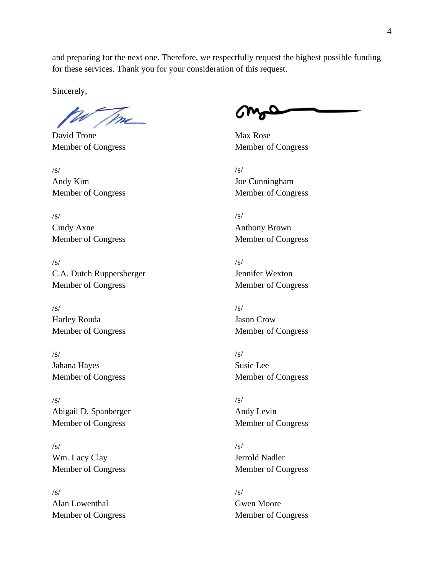and preparing for the next one. Therefore, we respectfully request the highest possible funding for these services. Thank you for your consideration of this request.

Sincerely,

David Trone Max Rose

 $\sqrt{s}$ / $\sqrt{s}$ / $\sqrt{s}$ / $\sqrt{s}$ / $\sqrt{s}$ / $\sqrt{s}$ / $\sqrt{s}$ / $\sqrt{s}$ / $\sqrt{s}$ / $\sqrt{s}$ / $\sqrt{s}$ / $\sqrt{s}$ / $\sqrt{s}$ / $\sqrt{s}$ / $\sqrt{s}$ / $\sqrt{s}$ / $\sqrt{s}$ / $\sqrt{s}$ / $\sqrt{s}$ / $\sqrt{s}$ / $\sqrt{s}$ / $\sqrt{s}$ / $\sqrt{s}$ / $\sqrt{s}$ / $\sqrt{s}$ / $\sqrt{s}$ / $\sqrt{s}$ / $\sqrt{s}$ / $\sqrt{s}$ / $\sqrt{s}$ / $\sqrt{s}$ / $\sqrt{s$ Andy Kim Joe Cunningham Member of Congress Member of Congress

 $\sqrt{s}$ / $\sqrt{s}$ / $\sqrt{s}$ / $\sqrt{s}$ / $\sqrt{s}$ / $\sqrt{s}$ / $\sqrt{s}$ / $\sqrt{s}$ / $\sqrt{s}$ / $\sqrt{s}$ / $\sqrt{s}$ / $\sqrt{s}$ / $\sqrt{s}$ / $\sqrt{s}$ / $\sqrt{s}$ / $\sqrt{s}$ / $\sqrt{s}$ / $\sqrt{s}$ / $\sqrt{s}$ / $\sqrt{s}$ / $\sqrt{s}$ / $\sqrt{s}$ / $\sqrt{s}$ / $\sqrt{s}$ / $\sqrt{s}$ / $\sqrt{s}$ / $\sqrt{s}$ / $\sqrt{s}$ / $\sqrt{s}$ / $\sqrt{s}$ / $\sqrt{s}$ / $\sqrt{s$ Cindy Axne Anthony Brown Member of Congress Member of Congress

 $\sqrt{s}$ / $\sqrt{s}$ / $\sqrt{s}$ / $\sqrt{s}$ / $\sqrt{s}$ / $\sqrt{s}$ / $\sqrt{s}$ / $\sqrt{s}$ / $\sqrt{s}$ / $\sqrt{s}$ / $\sqrt{s}$ / $\sqrt{s}$ / $\sqrt{s}$ / $\sqrt{s}$ / $\sqrt{s}$ / $\sqrt{s}$ / $\sqrt{s}$ / $\sqrt{s}$ / $\sqrt{s}$ / $\sqrt{s}$ / $\sqrt{s}$ / $\sqrt{s}$ / $\sqrt{s}$ / $\sqrt{s}$ / $\sqrt{s}$ / $\sqrt{s}$ / $\sqrt{s}$ / $\sqrt{s}$ / $\sqrt{s}$ / $\sqrt{s}$ / $\sqrt{s}$ / $\sqrt{s$ C.A. Dutch Ruppersberger Jennifer Wexton Member of Congress Member of Congress

 $\sqrt{s}$ / $\sqrt{s}$ / $\sqrt{s}$ / $\sqrt{s}$ / $\sqrt{s}$ / $\sqrt{s}$ / $\sqrt{s}$ / $\sqrt{s}$ / $\sqrt{s}$ / $\sqrt{s}$ / $\sqrt{s}$ / $\sqrt{s}$ / $\sqrt{s}$ / $\sqrt{s}$ / $\sqrt{s}$ / $\sqrt{s}$ / $\sqrt{s}$ / $\sqrt{s}$ / $\sqrt{s}$ / $\sqrt{s}$ / $\sqrt{s}$ / $\sqrt{s}$ / $\sqrt{s}$ / $\sqrt{s}$ / $\sqrt{s}$ / $\sqrt{s}$ / $\sqrt{s}$ / $\sqrt{s}$ / $\sqrt{s}$ / $\sqrt{s}$ / $\sqrt{s}$ / $\sqrt{s$ Harley Rouda Jason Crow

 $\sqrt{s}$ / $\sqrt{s}$ / $\sqrt{s}$ / $\sqrt{s}$ / $\sqrt{s}$ / $\sqrt{s}$ / $\sqrt{s}$ / $\sqrt{s}$ / $\sqrt{s}$ / $\sqrt{s}$ / $\sqrt{s}$ / $\sqrt{s}$ / $\sqrt{s}$ / $\sqrt{s}$ / $\sqrt{s}$ / $\sqrt{s}$ / $\sqrt{s}$ / $\sqrt{s}$ / $\sqrt{s}$ / $\sqrt{s}$ / $\sqrt{s}$ / $\sqrt{s}$ / $\sqrt{s}$ / $\sqrt{s}$ / $\sqrt{s}$ / $\sqrt{s}$ / $\sqrt{s}$ / $\sqrt{s}$ / $\sqrt{s}$ / $\sqrt{s}$ / $\sqrt{s}$ / $\sqrt{s$ Jahana Hayes Susie Lee Member of Congress Member of Congress

 $\sqrt{s}$ / $\sqrt{s}$ / $\sqrt{s}$ / $\sqrt{s}$ / $\sqrt{s}$ / $\sqrt{s}$ / $\sqrt{s}$ / $\sqrt{s}$ / $\sqrt{s}$ / $\sqrt{s}$ / $\sqrt{s}$ / $\sqrt{s}$ / $\sqrt{s}$ / $\sqrt{s}$ / $\sqrt{s}$ / $\sqrt{s}$ / $\sqrt{s}$ / $\sqrt{s}$ / $\sqrt{s}$ / $\sqrt{s}$ / $\sqrt{s}$ / $\sqrt{s}$ / $\sqrt{s}$ / $\sqrt{s}$ / $\sqrt{s}$ / $\sqrt{s}$ / $\sqrt{s}$ / $\sqrt{s}$ / $\sqrt{s}$ / $\sqrt{s}$ / $\sqrt{s}$ / $\sqrt{s$ Abigail D. Spanberger Andy Levin Member of Congress Member of Congress

 $\sqrt{s}$ / $\sqrt{s}$ / $\sqrt{s}$ / $\sqrt{s}$ / $\sqrt{s}$ / $\sqrt{s}$ / $\sqrt{s}$ / $\sqrt{s}$ / $\sqrt{s}$ / $\sqrt{s}$ / $\sqrt{s}$ / $\sqrt{s}$ / $\sqrt{s}$ / $\sqrt{s}$ / $\sqrt{s}$ / $\sqrt{s}$ / $\sqrt{s}$ / $\sqrt{s}$ / $\sqrt{s}$ / $\sqrt{s}$ / $\sqrt{s}$ / $\sqrt{s}$ / $\sqrt{s}$ / $\sqrt{s}$ / $\sqrt{s}$ / $\sqrt{s}$ / $\sqrt{s}$ / $\sqrt{s}$ / $\sqrt{s}$ / $\sqrt{s}$ / $\sqrt{s}$ / $\sqrt{s$ Wm. Lacy Clay **Jerrold Nadler** Member of Congress Member of Congress

 $\sqrt{s}$ / $\sqrt{s}$ / $\sqrt{s}$ / $\sqrt{s}$ / $\sqrt{s}$ / $\sqrt{s}$ / $\sqrt{s}$ / $\sqrt{s}$ / $\sqrt{s}$ / $\sqrt{s}$ / $\sqrt{s}$ / $\sqrt{s}$ / $\sqrt{s}$ / $\sqrt{s}$ / $\sqrt{s}$ / $\sqrt{s}$ / $\sqrt{s}$ / $\sqrt{s}$ / $\sqrt{s}$ / $\sqrt{s}$ / $\sqrt{s}$ / $\sqrt{s}$ / $\sqrt{s}$ / $\sqrt{s}$ / $\sqrt{s}$ / $\sqrt{s}$ / $\sqrt{s}$ / $\sqrt{s}$ / $\sqrt{s}$ / $\sqrt{s}$ / $\sqrt{s}$ / $\sqrt{s$ Alan Lowenthal Gwen Moore Member of Congress Member of Congress

Member of Congress Member of Congress

- 
- 
- 

Member of Congress Member of Congress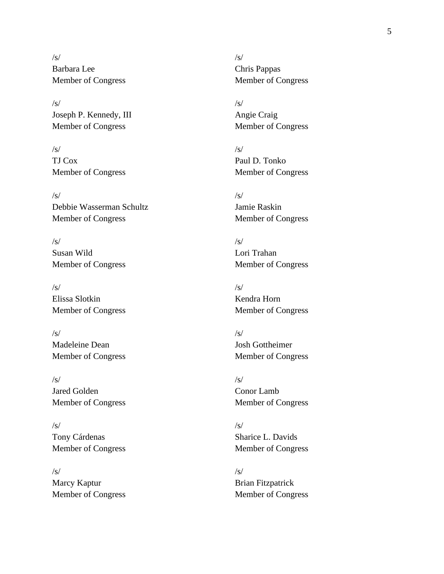$\sqrt{s}$ / $\sqrt{s}$ / $\sqrt{s}$ / $\sqrt{s}$ / $\sqrt{s}$ / $\sqrt{s}$ / $\sqrt{s}$ / $\sqrt{s}$ / $\sqrt{s}$ / $\sqrt{s}$ / $\sqrt{s}$ / $\sqrt{s}$ / $\sqrt{s}$ / $\sqrt{s}$ / $\sqrt{s}$ / $\sqrt{s}$ / $\sqrt{s}$ / $\sqrt{s}$ / $\sqrt{s}$ / $\sqrt{s}$ / $\sqrt{s}$ / $\sqrt{s}$ / $\sqrt{s}$ / $\sqrt{s}$ / $\sqrt{s}$ / $\sqrt{s}$ / $\sqrt{s}$ / $\sqrt{s}$ / $\sqrt{s}$ / $\sqrt{s}$ / $\sqrt{s}$ / $\sqrt{s$ Barbara Lee Chris Pappas Member of Congress Member of Congress

 $\sqrt{s}$ / $\sqrt{s}$ / $\sqrt{s}$ / $\sqrt{s}$ / $\sqrt{s}$ / $\sqrt{s}$ / $\sqrt{s}$ / $\sqrt{s}$ / $\sqrt{s}$ / $\sqrt{s}$ / $\sqrt{s}$ / $\sqrt{s}$ / $\sqrt{s}$ / $\sqrt{s}$ / $\sqrt{s}$ / $\sqrt{s}$ / $\sqrt{s}$ / $\sqrt{s}$ / $\sqrt{s}$ / $\sqrt{s}$ / $\sqrt{s}$ / $\sqrt{s}$ / $\sqrt{s}$ / $\sqrt{s}$ / $\sqrt{s}$ / $\sqrt{s}$ / $\sqrt{s}$ / $\sqrt{s}$ / $\sqrt{s}$ / $\sqrt{s}$ / $\sqrt{s}$ / $\sqrt{s$ Joseph P. Kennedy, III Angie Craig Member of Congress Member of Congress

 $\sqrt{s}$ / $\sqrt{s}$ / $\sqrt{s}$ / $\sqrt{s}$ / $\sqrt{s}$ / $\sqrt{s}$ / $\sqrt{s}$ / $\sqrt{s}$ / $\sqrt{s}$ / $\sqrt{s}$ / $\sqrt{s}$ / $\sqrt{s}$ / $\sqrt{s}$ / $\sqrt{s}$ / $\sqrt{s}$ / $\sqrt{s}$ / $\sqrt{s}$ / $\sqrt{s}$ / $\sqrt{s}$ / $\sqrt{s}$ / $\sqrt{s}$ / $\sqrt{s}$ / $\sqrt{s}$ / $\sqrt{s}$ / $\sqrt{s}$ / $\sqrt{s}$ / $\sqrt{s}$ / $\sqrt{s}$ / $\sqrt{s}$ / $\sqrt{s}$ / $\sqrt{s}$ / $\sqrt{s$ TJ Cox Paul D. Tonko Member of Congress Member of Congress

 $\sqrt{s}$ / $\sqrt{s}$ / $\sqrt{s}$ / $\sqrt{s}$ / $\sqrt{s}$ / $\sqrt{s}$ / $\sqrt{s}$ / $\sqrt{s}$ / $\sqrt{s}$ / $\sqrt{s}$ / $\sqrt{s}$ / $\sqrt{s}$ / $\sqrt{s}$ / $\sqrt{s}$ / $\sqrt{s}$ / $\sqrt{s}$ / $\sqrt{s}$ / $\sqrt{s}$ / $\sqrt{s}$ / $\sqrt{s}$ / $\sqrt{s}$ / $\sqrt{s}$ / $\sqrt{s}$ / $\sqrt{s}$ / $\sqrt{s}$ / $\sqrt{s}$ / $\sqrt{s}$ / $\sqrt{s}$ / $\sqrt{s}$ / $\sqrt{s}$ / $\sqrt{s}$ / $\sqrt{s$ Debbie Wasserman Schultz Jamie Raskin Member of Congress Member of Congress

 $\sqrt{s}$ / $\sqrt{s}$ / $\sqrt{s}$ / $\sqrt{s}$ / $\sqrt{s}$ / $\sqrt{s}$ / $\sqrt{s}$ / $\sqrt{s}$ / $\sqrt{s}$ / $\sqrt{s}$ / $\sqrt{s}$ / $\sqrt{s}$ / $\sqrt{s}$ / $\sqrt{s}$ / $\sqrt{s}$ / $\sqrt{s}$ / $\sqrt{s}$ / $\sqrt{s}$ / $\sqrt{s}$ / $\sqrt{s}$ / $\sqrt{s}$ / $\sqrt{s}$ / $\sqrt{s}$ / $\sqrt{s}$ / $\sqrt{s}$ / $\sqrt{s}$ / $\sqrt{s}$ / $\sqrt{s}$ / $\sqrt{s}$ / $\sqrt{s}$ / $\sqrt{s}$ / $\sqrt{s$ Susan Wild Lori Trahan Member of Congress Member of Congress

 $\sqrt{s}$ / $\sqrt{s}$ / $\sqrt{s}$ / $\sqrt{s}$ / $\sqrt{s}$ / $\sqrt{s}$ / $\sqrt{s}$ / $\sqrt{s}$ / $\sqrt{s}$ / $\sqrt{s}$ / $\sqrt{s}$ / $\sqrt{s}$ / $\sqrt{s}$ / $\sqrt{s}$ / $\sqrt{s}$ / $\sqrt{s}$ / $\sqrt{s}$ / $\sqrt{s}$ / $\sqrt{s}$ / $\sqrt{s}$ / $\sqrt{s}$ / $\sqrt{s}$ / $\sqrt{s}$ / $\sqrt{s}$ / $\sqrt{s}$ / $\sqrt{s}$ / $\sqrt{s}$ / $\sqrt{s}$ / $\sqrt{s}$ / $\sqrt{s}$ / $\sqrt{s}$ / $\sqrt{s$ Elissa Slotkin Kendra Horn

 $\sqrt{s}$ / $\sqrt{s}$ / $\sqrt{s}$ / $\sqrt{s}$ / $\sqrt{s}$ / $\sqrt{s}$ / $\sqrt{s}$ / $\sqrt{s}$ / $\sqrt{s}$ / $\sqrt{s}$ / $\sqrt{s}$ / $\sqrt{s}$ / $\sqrt{s}$ / $\sqrt{s}$ / $\sqrt{s}$ / $\sqrt{s}$ / $\sqrt{s}$ / $\sqrt{s}$ / $\sqrt{s}$ / $\sqrt{s}$ / $\sqrt{s}$ / $\sqrt{s}$ / $\sqrt{s}$ / $\sqrt{s}$ / $\sqrt{s}$ / $\sqrt{s}$ / $\sqrt{s}$ / $\sqrt{s}$ / $\sqrt{s}$ / $\sqrt{s}$ / $\sqrt{s}$ / $\sqrt{s$ Madeleine Dean Josh Gottheimer

 $\sqrt{s}$ / $\sqrt{s}$ / $\sqrt{s}$ / $\sqrt{s}$ / $\sqrt{s}$ / $\sqrt{s}$ / $\sqrt{s}$ / $\sqrt{s}$ / $\sqrt{s}$ / $\sqrt{s}$ / $\sqrt{s}$ / $\sqrt{s}$ / $\sqrt{s}$ / $\sqrt{s}$ / $\sqrt{s}$ / $\sqrt{s}$ / $\sqrt{s}$ / $\sqrt{s}$ / $\sqrt{s}$ / $\sqrt{s}$ / $\sqrt{s}$ / $\sqrt{s}$ / $\sqrt{s}$ / $\sqrt{s}$ / $\sqrt{s}$ / $\sqrt{s}$ / $\sqrt{s}$ / $\sqrt{s}$ / $\sqrt{s}$ / $\sqrt{s}$ / $\sqrt{s}$ / $\sqrt{s$ Jared Golden Conor Lamb Member of Congress Member of Congress

 $\sqrt{s}$ / $\sqrt{s}$ / $\sqrt{s}$ / $\sqrt{s}$ / $\sqrt{s}$ / $\sqrt{s}$ / $\sqrt{s}$ / $\sqrt{s}$ / $\sqrt{s}$ / $\sqrt{s}$ / $\sqrt{s}$ / $\sqrt{s}$ / $\sqrt{s}$ / $\sqrt{s}$ / $\sqrt{s}$ / $\sqrt{s}$ / $\sqrt{s}$ / $\sqrt{s}$ / $\sqrt{s}$ / $\sqrt{s}$ / $\sqrt{s}$ / $\sqrt{s}$ / $\sqrt{s}$ / $\sqrt{s}$ / $\sqrt{s}$ / $\sqrt{s}$ / $\sqrt{s}$ / $\sqrt{s}$ / $\sqrt{s}$ / $\sqrt{s}$ / $\sqrt{s}$ / $\sqrt{s$ Tony Cárdenas Sharice L. Davids

 $\sqrt{s}$ / $\sqrt{s}$ / $\sqrt{s}$ / $\sqrt{s}$ / $\sqrt{s}$ / $\sqrt{s}$ / $\sqrt{s}$ / $\sqrt{s}$ / $\sqrt{s}$ / $\sqrt{s}$ / $\sqrt{s}$ / $\sqrt{s}$ / $\sqrt{s}$ / $\sqrt{s}$ / $\sqrt{s}$ / $\sqrt{s}$ / $\sqrt{s}$ / $\sqrt{s}$ / $\sqrt{s}$ / $\sqrt{s}$ / $\sqrt{s}$ / $\sqrt{s}$ / $\sqrt{s}$ / $\sqrt{s}$ / $\sqrt{s}$ / $\sqrt{s}$ / $\sqrt{s}$ / $\sqrt{s}$ / $\sqrt{s}$ / $\sqrt{s}$ / $\sqrt{s}$ / $\sqrt{s$ Marcy Kaptur Brian Fitzpatrick Member of Congress Member of Congress

Member of Congress Member of Congress

Member of Congress Member of Congress

Member of Congress Member of Congress